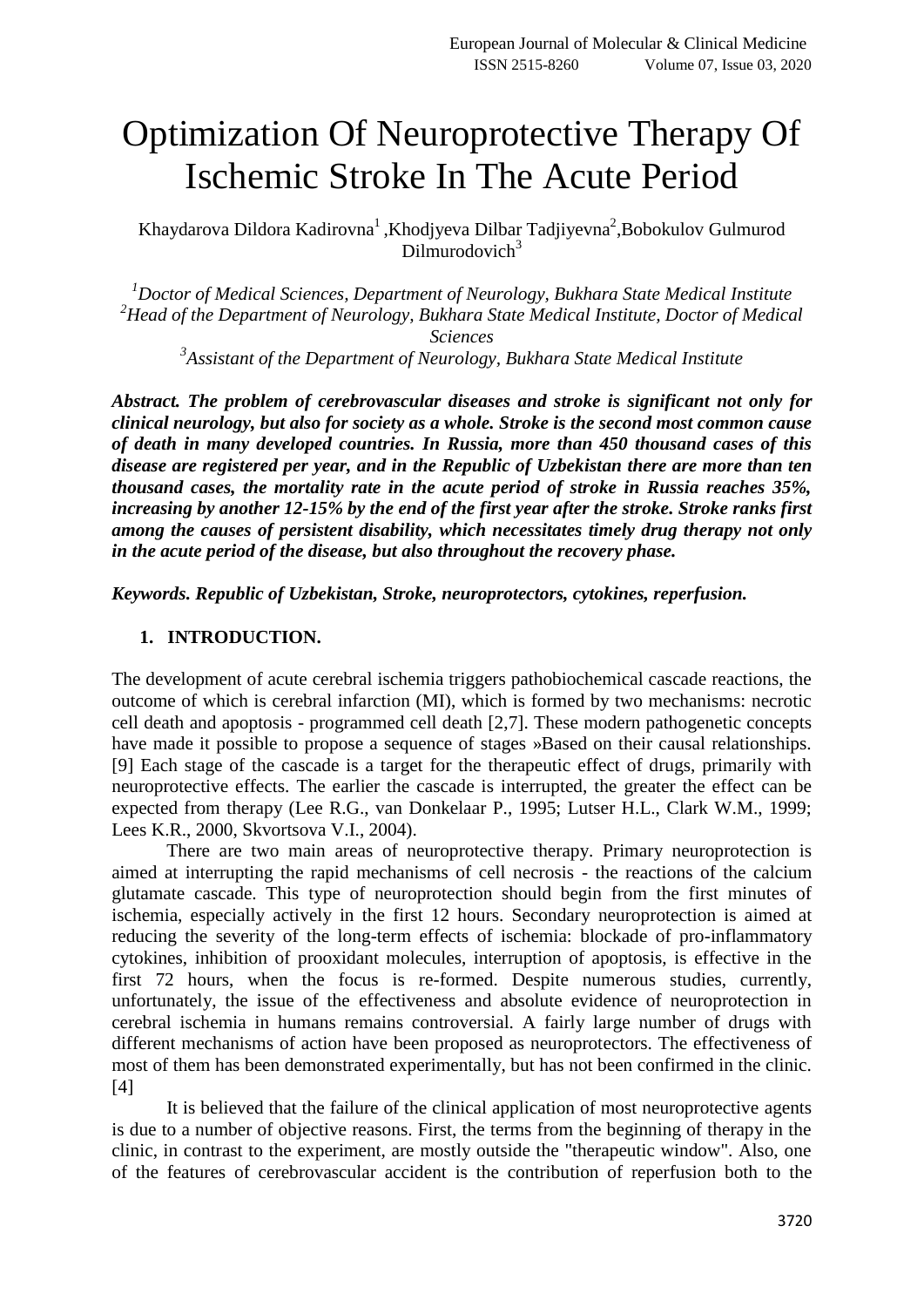## Optimization Of Neuroprotective Therapy Of Ischemic Stroke In The Acute Period

Khaydarova Dildora Kadirovna<sup>1</sup>, Khodjyeva Dilbar Tadjiyevna<sup>2</sup>, Bobokulov Gulmurod Dilmurodovich $3$ 

*<sup>1</sup>Doctor of Medical Sciences, Department of Neurology, Bukhara State Medical Institute <sup>2</sup>Head of the Department of Neurology, Bukhara State Medical Institute, Doctor of Medical* 

*Sciences*

*3 Assistant of the Department of Neurology, Bukhara State Medical Institute*

*Abstract. The problem of cerebrovascular diseases and stroke is significant not only for clinical neurology, but also for society as a whole. Stroke is the second most common cause of death in many developed countries. In Russia, more than 450 thousand cases of this disease are registered per year, and in the Republic of Uzbekistan there are more than ten thousand cases, the mortality rate in the acute period of stroke in Russia reaches 35%, increasing by another 12-15% by the end of the first year after the stroke. Stroke ranks first among the causes of persistent disability, which necessitates timely drug therapy not only in the acute period of the disease, but also throughout the recovery phase.*

*Keywords. Republic of Uzbekistan, Stroke, neuroprotectors, cytokines, reperfusion.*

## **1. INTRODUCTION.**

The development of acute cerebral ischemia triggers pathobiochemical cascade reactions, the outcome of which is cerebral infarction (MI), which is formed by two mechanisms: necrotic cell death and apoptosis - programmed cell death [2,7]. These modern pathogenetic concepts have made it possible to propose a sequence of stages »Based on their causal relationships. [9] Each stage of the cascade is a target for the therapeutic effect of drugs, primarily with neuroprotective effects. The earlier the cascade is interrupted, the greater the effect can be expected from therapy (Lee R.G., van Donkelaar P., 1995; Lutser H.L., Clark W.M., 1999; Lees K.R., 2000, Skvortsova V.I., 2004).

There are two main areas of neuroprotective therapy. Primary neuroprotection is aimed at interrupting the rapid mechanisms of cell necrosis - the reactions of the calcium glutamate cascade. This type of neuroprotection should begin from the first minutes of ischemia, especially actively in the first 12 hours. Secondary neuroprotection is aimed at reducing the severity of the long-term effects of ischemia: blockade of pro-inflammatory cytokines, inhibition of prooxidant molecules, interruption of apoptosis, is effective in the first 72 hours, when the focus is re-formed. Despite numerous studies, currently, unfortunately, the issue of the effectiveness and absolute evidence of neuroprotection in cerebral ischemia in humans remains controversial. A fairly large number of drugs with different mechanisms of action have been proposed as neuroprotectors. The effectiveness of most of them has been demonstrated experimentally, but has not been confirmed in the clinic. [4]

It is believed that the failure of the clinical application of most neuroprotective agents is due to a number of objective reasons. First, the terms from the beginning of therapy in the clinic, in contrast to the experiment, are mostly outside the "therapeutic window". Also, one of the features of cerebrovascular accident is the contribution of reperfusion both to the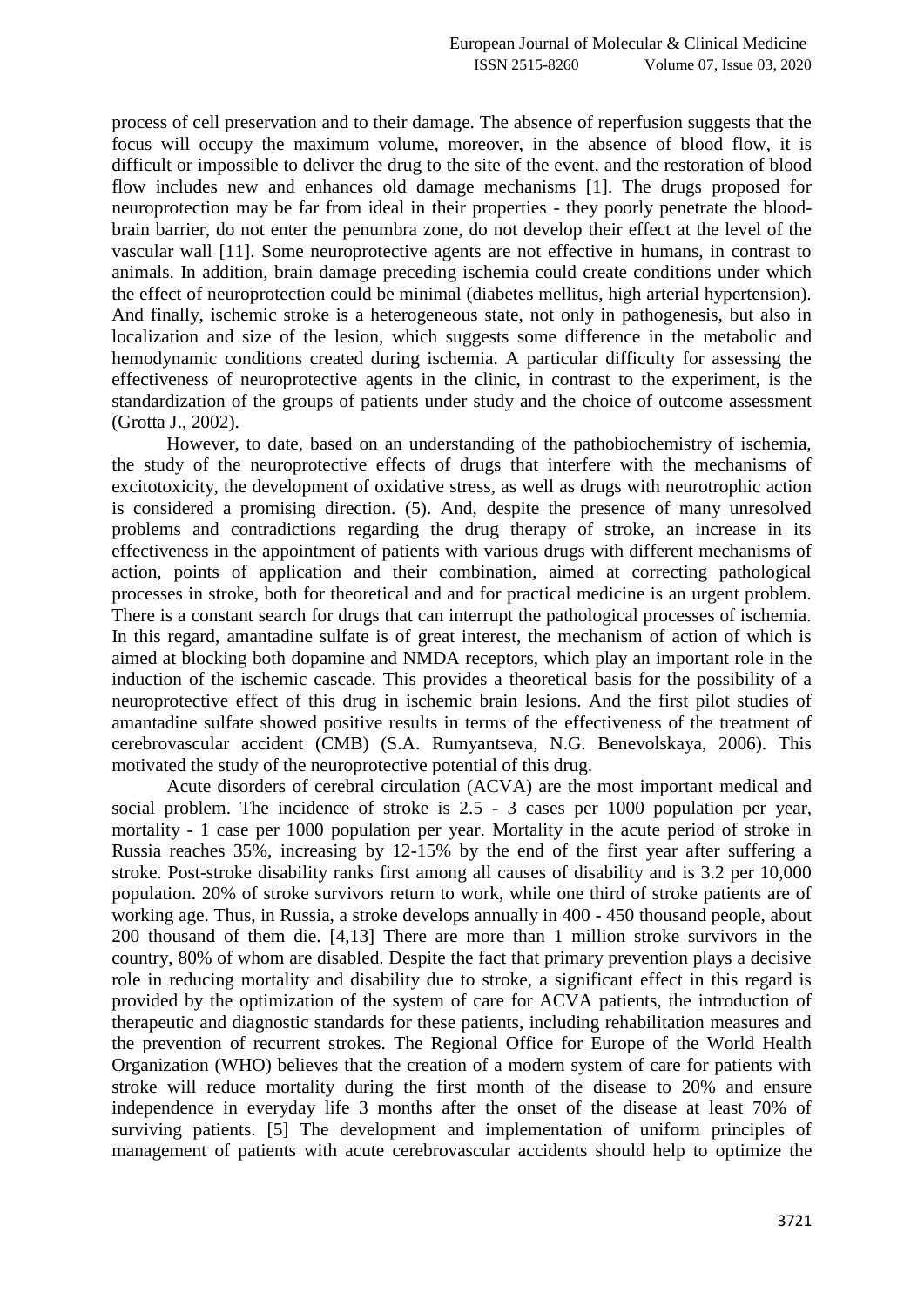process of cell preservation and to their damage. The absence of reperfusion suggests that the focus will occupy the maximum volume, moreover, in the absence of blood flow, it is difficult or impossible to deliver the drug to the site of the event, and the restoration of blood flow includes new and enhances old damage mechanisms [1]. The drugs proposed for neuroprotection may be far from ideal in their properties - they poorly penetrate the bloodbrain barrier, do not enter the penumbra zone, do not develop their effect at the level of the vascular wall [11]. Some neuroprotective agents are not effective in humans, in contrast to animals. In addition, brain damage preceding ischemia could create conditions under which the effect of neuroprotection could be minimal (diabetes mellitus, high arterial hypertension). And finally, ischemic stroke is a heterogeneous state, not only in pathogenesis, but also in localization and size of the lesion, which suggests some difference in the metabolic and hemodynamic conditions created during ischemia. A particular difficulty for assessing the effectiveness of neuroprotective agents in the clinic, in contrast to the experiment, is the standardization of the groups of patients under study and the choice of outcome assessment (Grotta J., 2002).

However, to date, based on an understanding of the pathobiochemistry of ischemia, the study of the neuroprotective effects of drugs that interfere with the mechanisms of excitotoxicity, the development of oxidative stress, as well as drugs with neurotrophic action is considered a promising direction. (5). And, despite the presence of many unresolved problems and contradictions regarding the drug therapy of stroke, an increase in its effectiveness in the appointment of patients with various drugs with different mechanisms of action, points of application and their combination, aimed at correcting pathological processes in stroke, both for theoretical and and for practical medicine is an urgent problem. There is a constant search for drugs that can interrupt the pathological processes of ischemia. In this regard, amantadine sulfate is of great interest, the mechanism of action of which is aimed at blocking both dopamine and NMDA receptors, which play an important role in the induction of the ischemic cascade. This provides a theoretical basis for the possibility of a neuroprotective effect of this drug in ischemic brain lesions. And the first pilot studies of amantadine sulfate showed positive results in terms of the effectiveness of the treatment of cerebrovascular accident (CMB) (S.A. Rumyantseva, N.G. Benevolskaya, 2006). This motivated the study of the neuroprotective potential of this drug.

Acute disorders of cerebral circulation (ACVA) are the most important medical and social problem. The incidence of stroke is 2.5 - 3 cases per 1000 population per year, mortality - 1 case per 1000 population per year. Mortality in the acute period of stroke in Russia reaches 35%, increasing by 12-15% by the end of the first year after suffering a stroke. Post-stroke disability ranks first among all causes of disability and is 3.2 per 10,000 population. 20% of stroke survivors return to work, while one third of stroke patients are of working age. Thus, in Russia, a stroke develops annually in 400 - 450 thousand people, about 200 thousand of them die. [4,13] There are more than 1 million stroke survivors in the country, 80% of whom are disabled. Despite the fact that primary prevention plays a decisive role in reducing mortality and disability due to stroke, a significant effect in this regard is provided by the optimization of the system of care for ACVA patients, the introduction of therapeutic and diagnostic standards for these patients, including rehabilitation measures and the prevention of recurrent strokes. The Regional Office for Europe of the World Health Organization (WHO) believes that the creation of a modern system of care for patients with stroke will reduce mortality during the first month of the disease to 20% and ensure independence in everyday life 3 months after the onset of the disease at least 70% of surviving patients. [5] The development and implementation of uniform principles of management of patients with acute cerebrovascular accidents should help to optimize the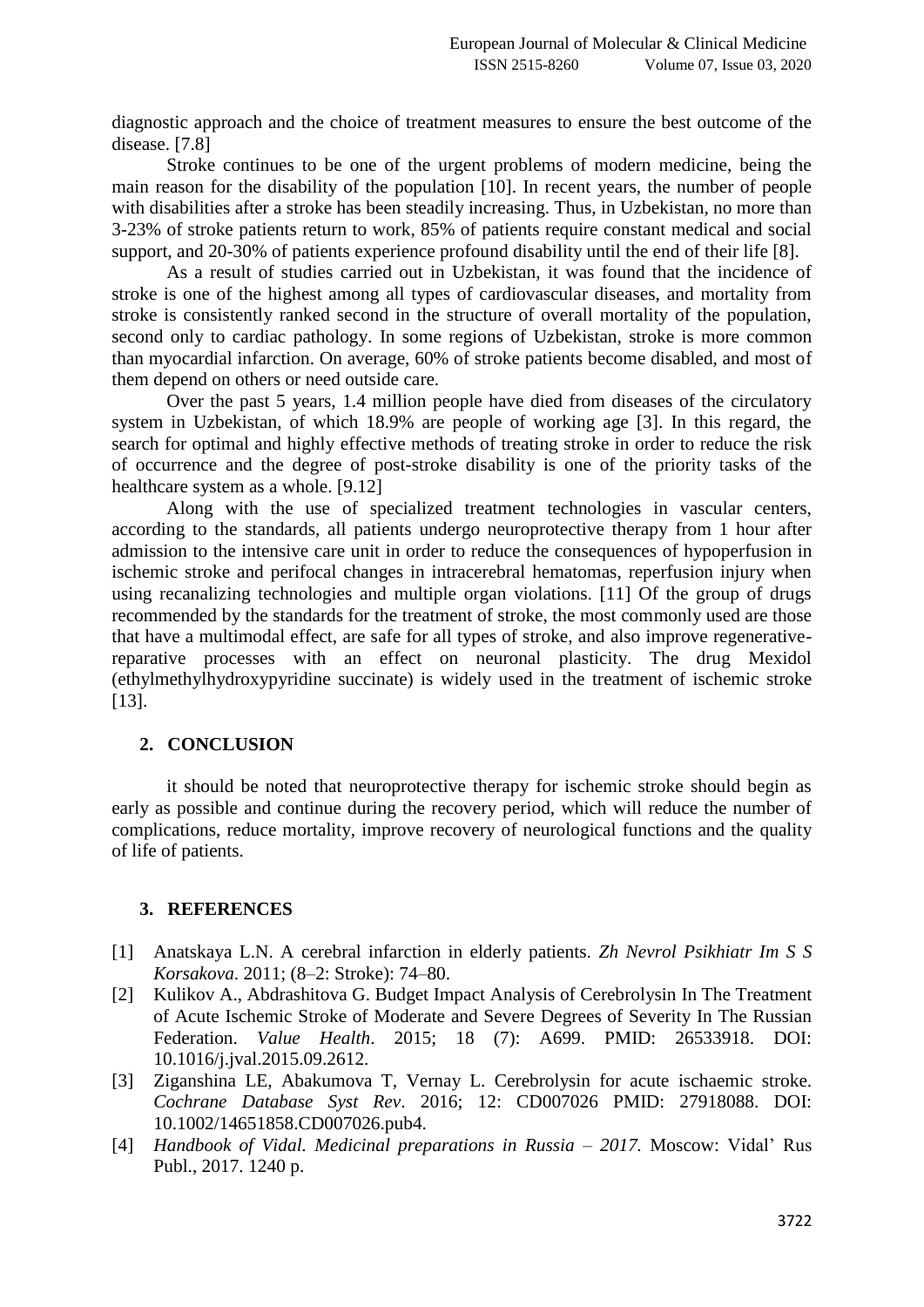diagnostic approach and the choice of treatment measures to ensure the best outcome of the disease. [7.8]

Stroke continues to be one of the urgent problems of modern medicine, being the main reason for the disability of the population [10]. In recent years, the number of people with disabilities after a stroke has been steadily increasing. Thus, in Uzbekistan, no more than 3-23% of stroke patients return to work, 85% of patients require constant medical and social support, and 20-30% of patients experience profound disability until the end of their life [8].

As a result of studies carried out in Uzbekistan, it was found that the incidence of stroke is one of the highest among all types of cardiovascular diseases, and mortality from stroke is consistently ranked second in the structure of overall mortality of the population, second only to cardiac pathology. In some regions of Uzbekistan, stroke is more common than myocardial infarction. On average, 60% of stroke patients become disabled, and most of them depend on others or need outside care.

Over the past 5 years, 1.4 million people have died from diseases of the circulatory system in Uzbekistan, of which 18.9% are people of working age [3]. In this regard, the search for optimal and highly effective methods of treating stroke in order to reduce the risk of occurrence and the degree of post-stroke disability is one of the priority tasks of the healthcare system as a whole. [9.12]

Along with the use of specialized treatment technologies in vascular centers, according to the standards, all patients undergo neuroprotective therapy from 1 hour after admission to the intensive care unit in order to reduce the consequences of hypoperfusion in ischemic stroke and perifocal changes in intracerebral hematomas, reperfusion injury when using recanalizing technologies and multiple organ violations. [11] Of the group of drugs recommended by the standards for the treatment of stroke, the most commonly used are those that have a multimodal effect, are safe for all types of stroke, and also improve regenerativereparative processes with an effect on neuronal plasticity. The drug Mexidol (ethylmethylhydroxypyridine succinate) is widely used in the treatment of ischemic stroke [13].

## **2. CONCLUSION**

it should be noted that neuroprotective therapy for ischemic stroke should begin as early as possible and continue during the recovery period, which will reduce the number of complications, reduce mortality, improve recovery of neurological functions and the quality of life of patients.

## **3. REFERENCES**

- [1] Anatskaya L.N. A cerebral infarction in elderly patients. *Zh Nevrol Psikhiatr Im S S Korsakova*. 2011; (8–2: Stroke): 74–80.
- [2] Kulikov A., Abdrashitova G. Budget Impact Analysis of Cerebrolysin In The Treatment of Acute Ischemic Stroke of Moderate and Severe Degrees of Severity In The Russian Federation. *Value Health*. 2015; 18 (7): A699. PMID: 26533918. DOI: 10.1016/j.jval.2015.09.2612.
- [3] Ziganshina LE, Abakumova T, Vernay L. Cerebrolysin for acute ischaemic stroke. *Cochrane Database Syst Rev*. 2016; 12: CD007026 PMID: 27918088. DOI: 10.1002/14651858.CD007026.pub4.
- [4] *Handbook of Vidal. Medicinal preparations in Russia – 2017.* Moscow: Vidal' Rus Publ., 2017. 1240 p.